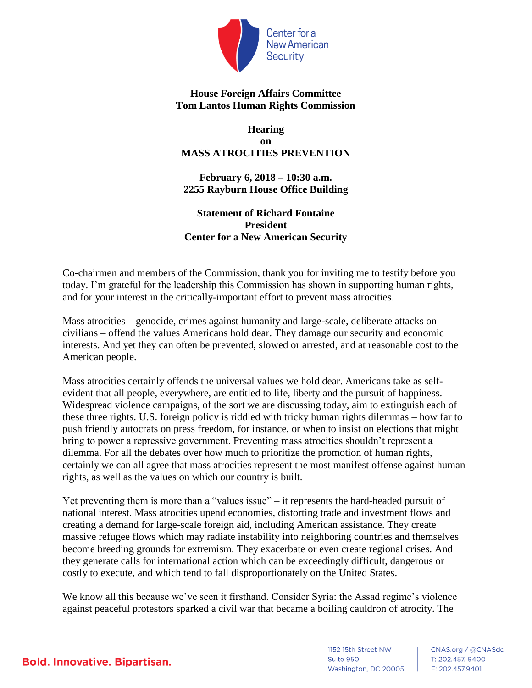

## **House Foreign Affairs Committee Tom Lantos Human Rights Commission**

## **Hearing on MASS ATROCITIES PREVENTION**

**February 6, 2018 – 10:30 a.m. 2255 Rayburn House Office Building**

## **Statement of Richard Fontaine President Center for a New American Security**

Co-chairmen and members of the Commission, thank you for inviting me to testify before you today. I'm grateful for the leadership this Commission has shown in supporting human rights, and for your interest in the critically-important effort to prevent mass atrocities.

Mass atrocities – genocide, crimes against humanity and large-scale, deliberate attacks on civilians – offend the values Americans hold dear. They damage our security and economic interests. And yet they can often be prevented, slowed or arrested, and at reasonable cost to the American people.

Mass atrocities certainly offends the universal values we hold dear. Americans take as selfevident that all people, everywhere, are entitled to life, liberty and the pursuit of happiness. Widespread violence campaigns, of the sort we are discussing today, aim to extinguish each of these three rights. U.S. foreign policy is riddled with tricky human rights dilemmas – how far to push friendly autocrats on press freedom, for instance, or when to insist on elections that might bring to power a repressive government. Preventing mass atrocities shouldn't represent a dilemma. For all the debates over how much to prioritize the promotion of human rights, certainly we can all agree that mass atrocities represent the most manifest offense against human rights, as well as the values on which our country is built.

Yet preventing them is more than a "values issue" – it represents the hard-headed pursuit of national interest. Mass atrocities upend economies, distorting trade and investment flows and creating a demand for large-scale foreign aid, including American assistance. They create massive refugee flows which may radiate instability into neighboring countries and themselves become breeding grounds for extremism. They exacerbate or even create regional crises. And they generate calls for international action which can be exceedingly difficult, dangerous or costly to execute, and which tend to fall disproportionately on the United States.

We know all this because we've seen it firsthand. Consider Syria: the Assad regime's violence against peaceful protestors sparked a civil war that became a boiling cauldron of atrocity. The

1152 15th Street NW Suite 950 Washington, DC 20005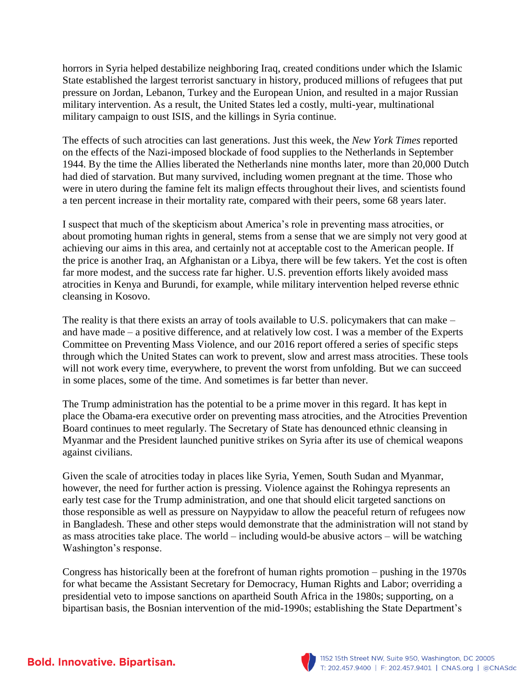horrors in Syria helped destabilize neighboring Iraq, created conditions under which the Islamic State established the largest terrorist sanctuary in history, produced millions of refugees that put pressure on Jordan, Lebanon, Turkey and the European Union, and resulted in a major Russian military intervention. As a result, the United States led a costly, multi-year, multinational military campaign to oust ISIS, and the killings in Syria continue.

The effects of such atrocities can last generations. Just this week, the *New York Times* reported on the effects of the Nazi-imposed blockade of food supplies to the Netherlands in September 1944. By the time the Allies liberated the Netherlands nine months later, more than 20,000 Dutch had died of starvation. But many survived, including women pregnant at the time. Those who were in utero during the famine felt its malign effects throughout their lives, and scientists found a ten percent increase in their mortality rate, compared with their peers, some 68 years later.

I suspect that much of the skepticism about America's role in preventing mass atrocities, or about promoting human rights in general, stems from a sense that we are simply not very good at achieving our aims in this area, and certainly not at acceptable cost to the American people. If the price is another Iraq, an Afghanistan or a Libya, there will be few takers. Yet the cost is often far more modest, and the success rate far higher. U.S. prevention efforts likely avoided mass atrocities in Kenya and Burundi, for example, while military intervention helped reverse ethnic cleansing in Kosovo.

The reality is that there exists an array of tools available to U.S. policymakers that can make – and have made – a positive difference, and at relatively low cost. I was a member of the Experts Committee on Preventing Mass Violence, and our 2016 report offered a series of specific steps through which the United States can work to prevent, slow and arrest mass atrocities. These tools will not work every time, everywhere, to prevent the worst from unfolding. But we can succeed in some places, some of the time. And sometimes is far better than never.

The Trump administration has the potential to be a prime mover in this regard. It has kept in place the Obama-era executive order on preventing mass atrocities, and the Atrocities Prevention Board continues to meet regularly. The Secretary of State has denounced ethnic cleansing in Myanmar and the President launched punitive strikes on Syria after its use of chemical weapons against civilians.

Given the scale of atrocities today in places like Syria, Yemen, South Sudan and Myanmar, however, the need for further action is pressing. Violence against the Rohingya represents an early test case for the Trump administration, and one that should elicit targeted sanctions on those responsible as well as pressure on Naypyidaw to allow the peaceful return of refugees now in Bangladesh. These and other steps would demonstrate that the administration will not stand by as mass atrocities take place. The world – including would-be abusive actors – will be watching Washington's response.

Congress has historically been at the forefront of human rights promotion – pushing in the 1970s for what became the Assistant Secretary for Democracy, Human Rights and Labor; overriding a presidential veto to impose sanctions on apartheid South Africa in the 1980s; supporting, on a bipartisan basis, the Bosnian intervention of the mid-1990s; establishing the State Department's

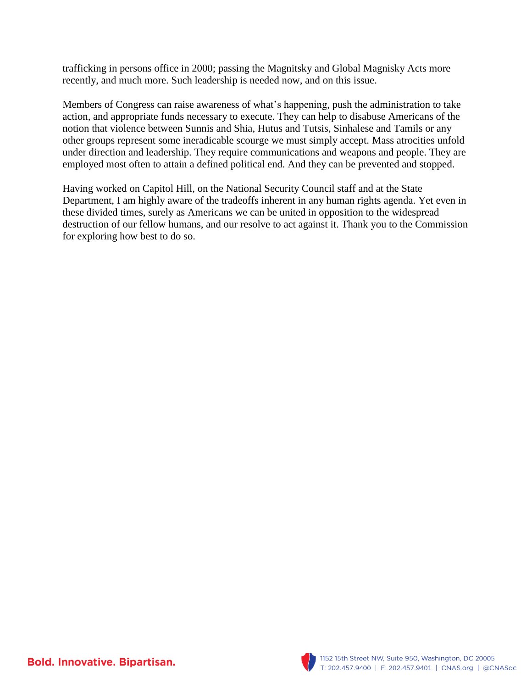trafficking in persons office in 2000; passing the Magnitsky and Global Magnisky Acts more recently, and much more. Such leadership is needed now, and on this issue.

Members of Congress can raise awareness of what's happening, push the administration to take action, and appropriate funds necessary to execute. They can help to disabuse Americans of the notion that violence between Sunnis and Shia, Hutus and Tutsis, Sinhalese and Tamils or any other groups represent some ineradicable scourge we must simply accept. Mass atrocities unfold under direction and leadership. They require communications and weapons and people. They are employed most often to attain a defined political end. And they can be prevented and stopped.

Having worked on Capitol Hill, on the National Security Council staff and at the State Department, I am highly aware of the tradeoffs inherent in any human rights agenda. Yet even in these divided times, surely as Americans we can be united in opposition to the widespread destruction of our fellow humans, and our resolve to act against it. Thank you to the Commission for exploring how best to do so.